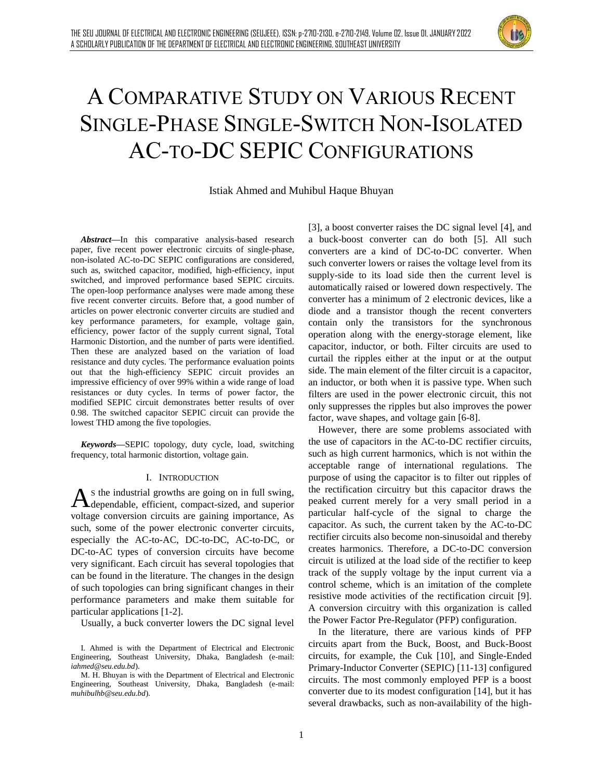

# A COMPARATIVE STUDY ON VARIOUS RECENT SINGLE-PHASE SINGLE-SWITCH NON-ISOLATED AC-TO-DC SEPIC CONFIGURATIONS

Istiak Ahmed and Muhibul Haque Bhuyan

*Abstract***—**In this comparative analysis-based research paper, five recent power electronic circuits of single-phase, non-isolated AC-to-DC SEPIC configurations are considered, such as, switched capacitor, modified, high-efficiency, input switched, and improved performance based SEPIC circuits. The open-loop performance analyses were made among these five recent converter circuits. Before that, a good number of articles on power electronic converter circuits are studied and key performance parameters, for example, voltage gain, efficiency, power factor of the supply current signal, Total Harmonic Distortion, and the number of parts were identified. Then these are analyzed based on the variation of load resistance and duty cycles. The performance evaluation points out that the high-efficiency SEPIC circuit provides an impressive efficiency of over 99% within a wide range of load resistances or duty cycles. In terms of power factor, the modified SEPIC circuit demonstrates better results of over 0.98. The switched capacitor SEPIC circuit can provide the lowest THD among the five topologies.

*Keywords***—**SEPIC topology, duty cycle, load, switching frequency, total harmonic distortion, voltage gain.

#### I. INTRODUCTION

S the industrial growths are going on in full swing,  $A$ s the industrial growths are going on in full swing,<br>dependable, efficient, compact-sized, and superior voltage conversion circuits are gaining importance, As such, some of the power electronic converter circuits, especially the AC-to-AC, DC-to-DC, AC-to-DC, or DC-to-AC types of conversion circuits have become very significant. Each circuit has several topologies that can be found in the literature. The changes in the design of such topologies can bring significant changes in their performance parameters and make them suitable for particular applications [1-2].

Usually, a buck converter lowers the DC signal level

I. Ahmed is with the Department of Electrical and Electronic Engineering, Southeast University, Dhaka, Bangladesh (e-mail: *iahmed@seu.edu.bd*).

M. H. Bhuyan is with the Department of Electrical and Electronic Engineering, Southeast University, Dhaka, Bangladesh (e-mail: *muhibulhb@seu.edu.bd*).

[3], a boost converter raises the DC signal level [4], and a buck-boost converter can do both [5]. All such converters are a kind of DC-to-DC converter. When such converter lowers or raises the voltage level from its supply-side to its load side then the current level is automatically raised or lowered down respectively. The converter has a minimum of 2 electronic devices, like a diode and a transistor though the recent converters contain only the transistors for the synchronous operation along with the energy-storage element, like capacitor, inductor, or both. Filter circuits are used to curtail the ripples either at the input or at the output side. The main element of the filter circuit is a capacitor, an inductor, or both when it is passive type. When such filters are used in the power electronic circuit, this not only suppresses the ripples but also improves the power factor, wave shapes, and voltage gain [6-8].

However, there are some problems associated with the use of capacitors in the AC-to-DC rectifier circuits, such as high current harmonics, which is not within the acceptable range of international regulations. The purpose of using the capacitor is to filter out ripples of the rectification circuitry but this capacitor draws the peaked current merely for a very small period in a particular half-cycle of the signal to charge the capacitor. As such, the current taken by the AC-to-DC rectifier circuits also become non-sinusoidal and thereby creates harmonics. Therefore, a DC-to-DC conversion circuit is utilized at the load side of the rectifier to keep track of the supply voltage by the input current via a control scheme, which is an imitation of the complete resistive mode activities of the rectification circuit [9]. A conversion circuitry with this organization is called the Power Factor Pre-Regulator (PFP) configuration.

In the literature, there are various kinds of PFP circuits apart from the Buck, Boost, and Buck-Boost circuits, for example, the Cuk [10], and Single-Ended Primary-Inductor Converter (SEPIC) [11-13] configured circuits. The most commonly employed PFP is a boost converter due to its modest configuration [14], but it has several drawbacks, such as non-availability of the high-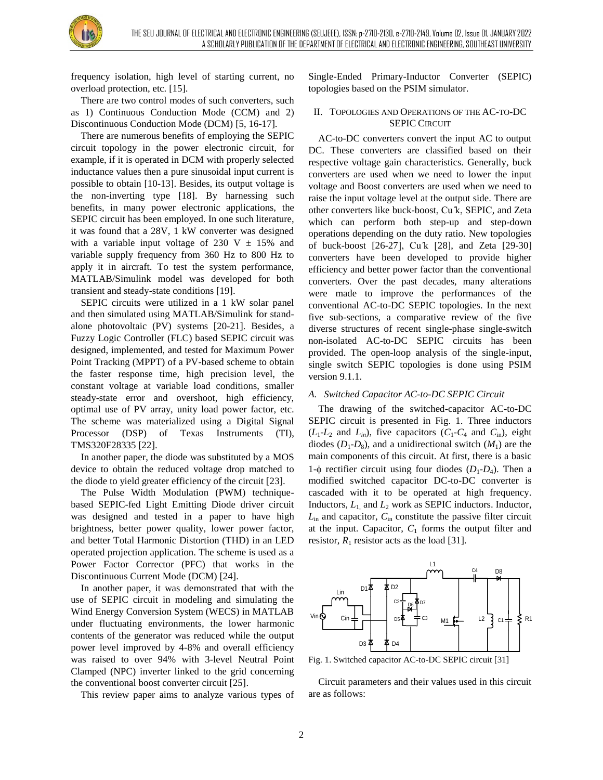

frequency isolation, high level of starting current, no overload protection, etc. [15].

There are two control modes of such converters, such as 1) Continuous Conduction Mode (CCM) and 2) Discontinuous Conduction Mode (DCM) [5, 16-17].

There are numerous benefits of employing the SEPIC circuit topology in the power electronic circuit, for example, if it is operated in DCM with properly selected inductance values then a pure sinusoidal input current is possible to obtain [10-13]. Besides, its output voltage is the non-inverting type [18]. By harnessing such benefits, in many power electronic applications, the SEPIC circuit has been employed. In one such literature, it was found that a 28V, 1 kW converter was designed with a variable input voltage of 230 V  $\pm$  15% and variable supply frequency from 360 Hz to 800 Hz to apply it in aircraft. To test the system performance, MATLAB/Simulink model was developed for both transient and steady-state conditions [19].

SEPIC circuits were utilized in a 1 kW solar panel and then simulated using MATLAB/Simulink for standalone photovoltaic (PV) systems [20-21]. Besides, a Fuzzy Logic Controller (FLC) based SEPIC circuit was designed, implemented, and tested for Maximum Power Point Tracking (MPPT) of a PV-based scheme to obtain the faster response time, high precision level, the constant voltage at variable load conditions, smaller steady-state error and overshoot, high efficiency, optimal use of PV array, unity load power factor, etc. The scheme was materialized using a Digital Signal Processor (DSP) of Texas Instruments (TI), TMS320F28335 [22].

In another paper, the diode was substituted by a MOS device to obtain the reduced voltage drop matched to the diode to yield greater efficiency of the circuit [23].

The Pulse Width Modulation (PWM) techniquebased SEPIC-fed Light Emitting Diode driver circuit was designed and tested in a paper to have high brightness, better power quality, lower power factor, and better Total Harmonic Distortion (THD) in an LED operated projection application. The scheme is used as a Power Factor Corrector (PFC) that works in the Discontinuous Current Mode (DCM) [24].

In another paper, it was demonstrated that with the use of SEPIC circuit in modeling and simulating the Wind Energy Conversion System (WECS) in MATLAB under fluctuating environments, the lower harmonic contents of the generator was reduced while the output power level improved by 4-8% and overall efficiency was raised to over 94% with 3-level Neutral Point Clamped (NPC) inverter linked to the grid concerning the conventional boost converter circuit [25].

This review paper aims to analyze various types of

Single-Ended Primary-Inductor Converter (SEPIC) topologies based on the PSIM simulator.

# II. TOPOLOGIES AND OPERATIONS OF THE AC-TO-DC SEPIC CIRCUIT

AC-to-DC converters convert the input AC to output DC. These converters are classified based on their respective voltage gain characteristics. Generally, buck converters are used when we need to lower the input voltage and Boost converters are used when we need to raise the input voltage level at the output side. There are other converters like buck-boost, Cu ̂k, SEPIC, and Zeta which can perform both step-up and step-down operations depending on the duty ratio. New topologies of buck-boost [26-27], Cu ̂k [28], and Zeta [29-30] converters have been developed to provide higher efficiency and better power factor than the conventional converters. Over the past decades, many alterations were made to improve the performances of the conventional AC-to-DC SEPIC topologies. In the next five sub-sections, a comparative review of the five diverse structures of recent single-phase single-switch non-isolated AC-to-DC SEPIC circuits has been provided. The open-loop analysis of the single-input, single switch SEPIC topologies is done using PSIM version 9.1.1.

## *A. Switched Capacitor AC-to-DC SEPIC Circuit*

The drawing of the switched-capacitor AC-to-DC SEPIC circuit is presented in Fig. 1. Three inductors  $(L_1-L_2 \text{ and } L_{in})$ , five capacitors  $(C_1-C_4 \text{ and } C_{in})$ , eight diodes  $(D_1-D_8)$ , and a unidirectional switch  $(M_1)$  are the main components of this circuit. At first, there is a basic 1- $\phi$  rectifier circuit using four diodes ( $D_1$ - $D_4$ ). Then a modified switched capacitor DC-to-DC converter is cascaded with it to be operated at high frequency. Inductors, *L*1, and *L*<sup>2</sup> work as SEPIC inductors. Inductor, *L*in and capacitor, *C*in constitute the passive filter circuit at the input. Capacitor,  $C_1$  forms the output filter and resistor,  $R_1$  resistor acts as the load [31].



Fig. 1. Switched capacitor AC-to-DC SEPIC circuit [31]

Circuit parameters and their values used in this circuit are as follows: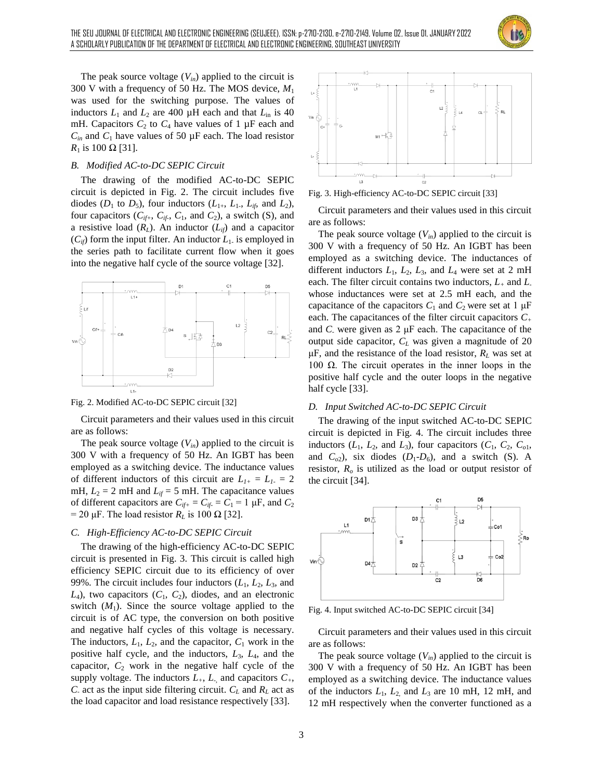

The peak source voltage  $(V_{in})$  applied to the circuit is 300 V with a frequency of 50 Hz. The MOS device, *M*<sup>1</sup> was used for the switching purpose. The values of inductors  $L_1$  and  $L_2$  are 400  $\mu$ H each and that  $L_{\text{in}}$  is 40 mH. Capacitors  $C_2$  to  $C_4$  have values of 1  $\mu$ F each and  $C_{in}$  and  $C_1$  have values of 50  $\mu$ F each. The load resistor *R*<sub>1</sub> is 100 Ω [31].

## *B. Modified AC-to-DC SEPIC Circuit*

The drawing of the modified AC-to-DC SEPIC circuit is depicted in Fig. 2. The circuit includes five diodes ( $D_1$  to  $D_5$ ), four inductors ( $L_{1+}$ ,  $L_{1-}$ ,  $L_{i\beta}$  and  $L_2$ ), four capacitors  $(C_{if+}, C_{if-}, C_1, \text{ and } C_2)$ , a switch (S), and a resistive load  $(R_L)$ . An inductor  $(L_{if})$  and a capacitor  $(C_{ij})$  form the input filter. An inductor  $L_1$  is employed in the series path to facilitate current flow when it goes into the negative half cycle of the source voltage [32].



Fig. 2. Modified AC-to-DC SEPIC circuit [32]

Circuit parameters and their values used in this circuit are as follows:

The peak source voltage  $(V_{in})$  applied to the circuit is 300 V with a frequency of 50 Hz. An IGBT has been employed as a switching device. The inductance values of different inductors of this circuit are  $L_{I+} = L_{I-} = 2$ mH,  $L_2 = 2$  mH and  $L_f = 5$  mH. The capacitance values of different capacitors are  $C_{if+} = C_{if-} = C_1 = 1 \mu F$ , and  $C_2$ = 20  $\mu$ F. The load resistor  $R_L$  is 100  $\Omega$  [32].

#### *C. High-Efficiency AC-to-DC SEPIC Circuit*

The drawing of the high-efficiency AC-to-DC SEPIC circuit is presented in Fig. 3. This circuit is called high efficiency SEPIC circuit due to its efficiency of over 99%. The circuit includes four inductors  $(L_1, L_2, L_3, \text{ and})$  $L_4$ ), two capacitors  $(C_1, C_2)$ , diodes, and an electronic switch  $(M_1)$ . Since the source voltage applied to the circuit is of AC type, the conversion on both positive and negative half cycles of this voltage is necessary. The inductors,  $L_1$ ,  $L_2$ , and the capacitor,  $C_1$  work in the positive half cycle, and the inductors, *L*3, *L*4, and the capacitor,  $C_2$  work in the negative half cycle of the supply voltage. The inductors  $L_+$ ,  $L_+$  and capacitors  $C_+$ , *C*<sub>-</sub> act as the input side filtering circuit.  $C_L$  and  $R_L$  act as the load capacitor and load resistance respectively [33].



Fig. 3. High-efficiency AC-to-DC SEPIC circuit [33]

Circuit parameters and their values used in this circuit are as follows:

The peak source voltage  $(V_{in})$  applied to the circuit is 300 V with a frequency of 50 Hz. An IGBT has been employed as a switching device. The inductances of different inductors  $L_1$ ,  $L_2$ ,  $L_3$ , and  $L_4$  were set at 2 mH each. The filter circuit contains two inductors, *L<sup>+</sup>* and *L*whose inductances were set at 2.5 mH each, and the capacitance of the capacitors  $C_1$  and  $C_2$  were set at 1  $\mu$ F each. The capacitances of the filter circuit capacitors *C<sup>+</sup>* and *C-* were given as 2 μF each. The capacitance of the output side capacitor, *C<sup>L</sup>* was given a magnitude of 20  $\mu$ F, and the resistance of the load resistor,  $R_L$  was set at 100  $\Omega$ . The circuit operates in the inner loops in the positive half cycle and the outer loops in the negative half cycle [33].

#### *D. Input Switched AC-to-DC SEPIC Circuit*

The drawing of the input switched AC-to-DC SEPIC circuit is depicted in Fig. 4. The circuit includes three inductors  $(L_1, L_2, \text{ and } L_3)$ , four capacitors  $(C_1, C_2, C_0)$ , and  $C_{o2}$ ), six diodes  $(D_1-D_6)$ , and a switch (S). A resistor, *R<sup>o</sup>* is utilized as the load or output resistor of the circuit [34].



Fig. 4. Input switched AC-to-DC SEPIC circuit [34]

Circuit parameters and their values used in this circuit are as follows:

The peak source voltage  $(V_{in})$  applied to the circuit is 300 V with a frequency of 50 Hz. An IGBT has been employed as a switching device. The inductance values of the inductors  $L_1$ ,  $L_2$  and  $L_3$  are 10 mH, 12 mH, and 12 mH respectively when the converter functioned as a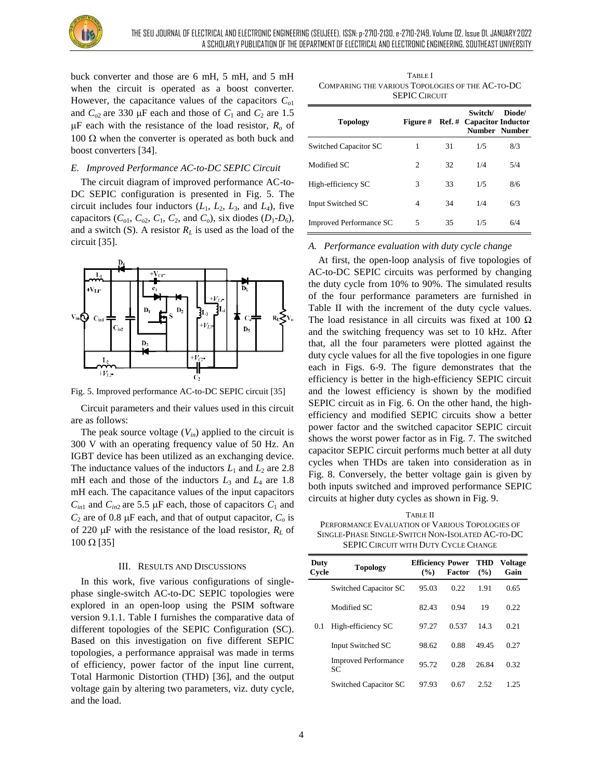

buck converter and those are 6 mH, 5 mH, and 5 mH when the circuit is operated as a boost converter. However, the capacitance values of the capacitors *Co*<sup>1</sup> and  $C_{o2}$  are 330  $\mu$ F each and those of  $C_1$  and  $C_2$  are 1.5  $\mu$ F each with the resistance of the load resistor,  $R$ <sup>0</sup> of  $100 \Omega$  when the converter is operated as both buck and boost converters [34].

## *E. Improved Performance AC-to-DC SEPIC Circuit*

The circuit diagram of improved performance AC-to-DC SEPIC configuration is presented in Fig. 5. The circuit includes four inductors  $(L_1, L_2, L_3, \text{ and } L_4)$ , five capacitors  $(C_{01}, C_{02}, C_1, C_2, \text{ and } C_o)$ , six diodes  $(D_1 - D_6)$ , and a switch (S). A resistor  $R_L$  is used as the load of the circuit [35].



Fig. 5. Improved performance AC-to-DC SEPIC circuit [35]

Circuit parameters and their values used in this circuit are as follows:

The peak source voltage  $(V_{in})$  applied to the circuit is 300 V with an operating frequency value of 50 Hz. An IGBT device has been utilized as an exchanging device. The inductance values of the inductors  $L_1$  and  $L_2$  are 2.8 mH each and those of the inductors  $L_3$  and  $L_4$  are 1.8 mH each. The capacitance values of the input capacitors  $C_{in1}$  and  $C_{in2}$  are 5.5  $\mu$ F each, those of capacitors  $C_1$  and  $C_2$  are of 0.8  $\mu$ F each, and that of output capacitor,  $C_0$  is of 220  $\mu$ F with the resistance of the load resistor,  $R_L$  of  $100 \Omega$  [35]

#### III. RESULTS AND DISCUSSIONS

In this work, five various configurations of singlephase single-switch AC-to-DC SEPIC topologies were explored in an open-loop using the PSIM software version 9.1.1. Table I furnishes the comparative data of different topologies of the SEPIC Configuration (SC). Based on this investigation on five different SEPIC topologies, a performance appraisal was made in terms of efficiency, power factor of the input line current, Total Harmonic Distortion (THD) [36], and the output voltage gain by altering two parameters, viz. duty cycle, and the load.

TABLE I COMPARING THE VARIOUS TOPOLOGIES OF THE AC-TO-DC SEPIC CIRCUIT

| <b>Topology</b>                | <b>Figure</b> # |    | Switch/<br><b>Ref.</b> # Capacitor Inductor | Diode/<br>Number Number |
|--------------------------------|-----------------|----|---------------------------------------------|-------------------------|
| Switched Capacitor SC          | 1               | 31 | 1/5                                         | 8/3                     |
| Modified SC                    | $\mathfrak{D}$  | 32 | 1/4                                         | 5/4                     |
| High-efficiency SC             | 3               | 33 | 1/5                                         | 8/6                     |
| Input Switched SC              | 4               | 34 | 1/4                                         | 6/3                     |
| <b>Improved Performance SC</b> | 5               | 35 | 1/5                                         | 6/4                     |

## *A. Performance evaluation with duty cycle change*

At first, the open-loop analysis of five topologies of AC-to-DC SEPIC circuits was performed by changing the duty cycle from 10% to 90%. The simulated results of the four performance parameters are furnished in Table II with the increment of the duty cycle values. The load resistance in all circuits was fixed at 100  $\Omega$ and the switching frequency was set to 10 kHz. After that, all the four parameters were plotted against the duty cycle values for all the five topologies in one figure each in Figs. 6-9. The figure demonstrates that the efficiency is better in the high-efficiency SEPIC circuit and the lowest efficiency is shown by the modified SEPIC circuit as in Fig. 6. On the other hand, the highefficiency and modified SEPIC circuits show a better power factor and the switched capacitor SEPIC circuit shows the worst power factor as in Fig. 7. The switched capacitor SEPIC circuit performs much better at all duty cycles when THDs are taken into consideration as in Fig. 8. Conversely, the better voltage gain is given by both inputs switched and improved performance SEPIC circuits at higher duty cycles as shown in Fig. 9.

TABLE II PERFORMANCE EVALUATION OF VARIOUS TOPOLOGIES OF SINGLE-PHASE SINGLE-SWITCH NON-ISOLATED AC-TO-DC SEPIC CIRCUIT WITH DUTY CYCLE CHANGE

| Duty<br>Cycle | <b>Topology</b>                   | <b>Efficiency Power THD</b><br>(%) | <b>Factor</b> | (%)   | <b>Voltage</b><br>Gain |
|---------------|-----------------------------------|------------------------------------|---------------|-------|------------------------|
|               | Switched Capacitor SC             | 95.03                              | 0.22          | 1.91  | 0.65                   |
|               | Modified SC                       | 82.43                              | 0.94          | 19    | 0.22                   |
| 0.1           | High-efficiency SC                | 97.27                              | 0.537         | 14.3  | 0.21                   |
|               | Input Switched SC                 | 98.62                              | 0.88          | 49.45 | 0.27                   |
|               | <b>Improved Performance</b><br>SC | 95.72                              | 0.28          | 26.84 | 0.32                   |
|               | Switched Capacitor SC             | 97.93                              | 0.67          | 2.52  | 1.25                   |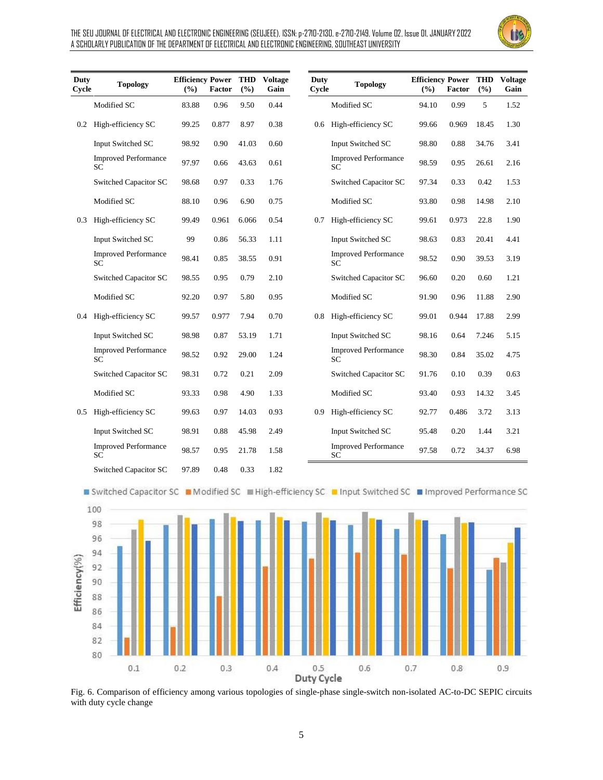

| Duty<br>Cycle | <b>Topology</b>                          | <b>Efficiency Power</b><br>$($ %) | <b>Factor</b> | THD<br>(9/0) | <b>Voltage</b><br>Gain | Duty<br>Cycle | <b>Topology</b>                          | <b>Efficiency Power</b><br>$\frac{9}{6}$ | <b>Factor</b> | <b>THD</b><br>(%) | <b>Voltage</b><br>Gain |
|---------------|------------------------------------------|-----------------------------------|---------------|--------------|------------------------|---------------|------------------------------------------|------------------------------------------|---------------|-------------------|------------------------|
|               | Modified SC                              | 83.88                             | 0.96          | 9.50         | 0.44                   |               | Modified SC                              | 94.10                                    | 0.99          | 5                 | 1.52                   |
| 0.2           | High-efficiency SC                       | 99.25                             | 0.877         | 8.97         | 0.38                   | 0.6           | High-efficiency SC                       | 99.66                                    | 0.969         | 18.45             | 1.30                   |
|               | Input Switched SC                        | 98.92                             | 0.90          | 41.03        | 0.60                   |               | Input Switched SC                        | 98.80                                    | 0.88          | 34.76             | 3.41                   |
|               | <b>Improved Performance</b><br><b>SC</b> | 97.97                             | 0.66          | 43.63        | 0.61                   |               | <b>Improved Performance</b><br><b>SC</b> | 98.59                                    | 0.95          | 26.61             | 2.16                   |
|               | Switched Capacitor SC                    | 98.68                             | 0.97          | 0.33         | 1.76                   |               | Switched Capacitor SC                    | 97.34                                    | 0.33          | 0.42              | 1.53                   |
|               | Modified SC                              | 88.10                             | 0.96          | 6.90         | 0.75                   |               | Modified SC                              | 93.80                                    | 0.98          | 14.98             | 2.10                   |
| 0.3           | High-efficiency SC                       | 99.49                             | 0.961         | 6.066        | 0.54                   | 0.7           | High-efficiency SC                       | 99.61                                    | 0.973         | 22.8              | 1.90                   |
|               | Input Switched SC                        | 99                                | 0.86          | 56.33        | 1.11                   |               | Input Switched SC                        | 98.63                                    | 0.83          | 20.41             | 4.41                   |
|               | <b>Improved Performance</b><br>SС        | 98.41                             | 0.85          | 38.55        | 0.91                   |               | <b>Improved Performance</b><br>SC        | 98.52                                    | 0.90          | 39.53             | 3.19                   |
|               | Switched Capacitor SC                    | 98.55                             | 0.95          | 0.79         | 2.10                   |               | Switched Capacitor SC                    | 96.60                                    | 0.20          | 0.60              | 1.21                   |
|               | Modified SC                              | 92.20                             | 0.97          | 5.80         | 0.95                   |               | Modified SC                              | 91.90                                    | 0.96          | 11.88             | 2.90                   |
| 0.4           | High-efficiency SC                       | 99.57                             | 0.977         | 7.94         | 0.70                   | 0.8           | High-efficiency SC                       | 99.01                                    | 0.944         | 17.88             | 2.99                   |
|               | Input Switched SC                        | 98.98                             | 0.87          | 53.19        | 1.71                   |               | Input Switched SC                        | 98.16                                    | 0.64          | 7.246             | 5.15                   |
|               | <b>Improved Performance</b><br>SC        | 98.52                             | 0.92          | 29.00        | 1.24                   |               | <b>Improved Performance</b><br><b>SC</b> | 98.30                                    | 0.84          | 35.02             | 4.75                   |
|               | Switched Capacitor SC                    | 98.31                             | 0.72          | 0.21         | 2.09                   |               | Switched Capacitor SC                    | 91.76                                    | 0.10          | 0.39              | 0.63                   |
|               | Modified SC                              | 93.33                             | 0.98          | 4.90         | 1.33                   |               | Modified SC                              | 93.40                                    | 0.93          | 14.32             | 3.45                   |
| 0.5           | High-efficiency SC                       | 99.63                             | 0.97          | 14.03        | 0.93                   | 0.9           | High-efficiency SC                       | 92.77                                    | 0.486         | 3.72              | 3.13                   |
|               | Input Switched SC                        | 98.91                             | 0.88          | 45.98        | 2.49                   |               | Input Switched SC                        | 95.48                                    | 0.20          | 1.44              | 3.21                   |
|               | <b>Improved Performance</b><br><b>SC</b> | 98.57                             | 0.95          | 21.78        | 1.58                   |               | <b>Improved Performance</b><br>SC        | 97.58                                    | 0.72          | 34.37             | 6.98                   |
|               | Switched Capacitor SC                    | 97.89                             | 0.48          | 0.33         | 1.82                   |               |                                          |                                          |               |                   |                        |



■ Switched Capacitor SC ■ Modified SC ■ High-efficiency SC ■ Input Switched SC ■ Improved Performance SC



Fig. 6. Comparison of efficiency among various topologies of single-phase single-switch non-isolated AC-to-DC SEPIC circuits with duty cycle change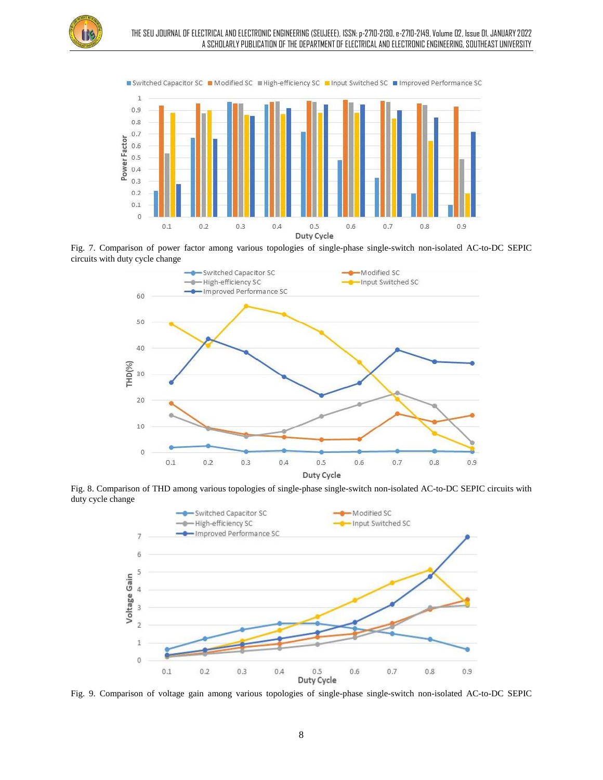







Fig. 8. Comparison of THD among various topologies of single-phase single-switch non-isolated AC-to-DC SEPIC circuits with duty cycle change



Fig. 9. Comparison of voltage gain among various topologies of single-phase single-switch non-isolated AC-to-DC SEPIC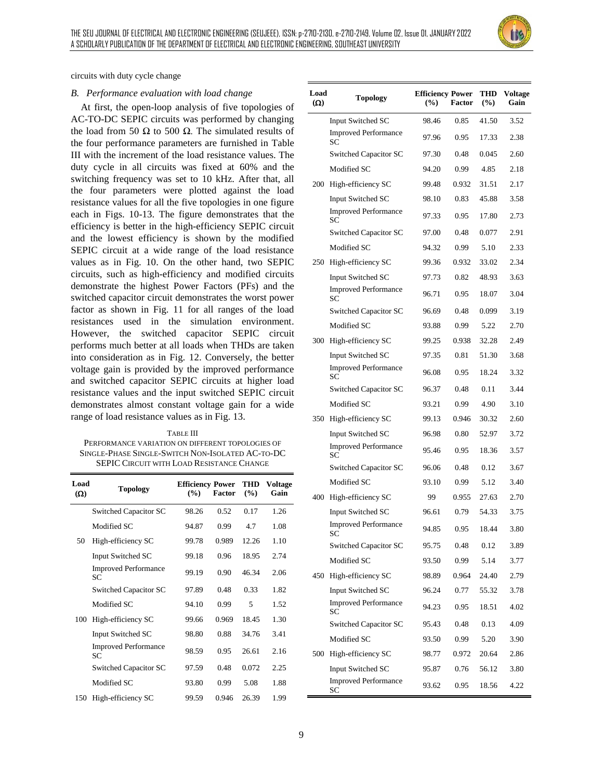

circuits with duty cycle change

#### *B. Performance evaluation with load change*

At first, the open-loop analysis of five topologies of AC-TO-DC SEPIC circuits was performed by changing the load from 50 Ω to 500 Ω. The simulated results of the four performance parameters are furnished in Table III with the increment of the load resistance values. The duty cycle in all circuits was fixed at 60% and the switching frequency was set to 10 kHz. After that, all the four parameters were plotted against the load resistance values for all the five topologies in one figure each in Figs. 10-13. The figure demonstrates that the efficiency is better in the high-efficiency SEPIC circuit and the lowest efficiency is shown by the modified SEPIC circuit at a wide range of the load resistance values as in Fig. 10. On the other hand, two SEPIC circuits, such as high-efficiency and modified circuits demonstrate the highest Power Factors (PFs) and the switched capacitor circuit demonstrates the worst power factor as shown in Fig. 11 for all ranges of the load resistances used in the simulation environment. However, the switched capacitor SEPIC circuit performs much better at all loads when THDs are taken into consideration as in Fig. 12. Conversely, the better voltage gain is provided by the improved performance and switched capacitor SEPIC circuits at higher load resistance values and the input switched SEPIC circuit demonstrates almost constant voltage gain for a wide range of load resistance values as in Fig. 13.

TABLE III PERFORMANCE VARIATION ON DIFFERENT TOPOLOGIES OF SINGLE-PHASE SINGLE-SWITCH NON-ISOLATED AC-TO-DC SEPIC CIRCUIT WITH LOAD RESISTANCE CHANGE

| Load<br>$(\Omega)$ | <b>Topology</b>                    | <b>Efficiency Power</b><br>$($ %) | <b>Factor</b> | <b>THD</b><br>$($ %) | <b>Voltage</b><br>Gain |
|--------------------|------------------------------------|-----------------------------------|---------------|----------------------|------------------------|
|                    | Switched Capacitor SC              | 98.26                             | 0.52          | 0.17                 | 1.26                   |
|                    | Modified SC                        | 94.87                             | 0.99          | 4.7                  | 1.08                   |
| 50                 | High-efficiency SC                 | 99.78                             | 0.989         | 12.26                | 1.10                   |
|                    | Input Switched SC                  | 99.18                             | 0.96          | 18.95                | 2.74                   |
|                    | <b>Improved Performance</b><br>SC  | 99.19                             | 0.90          | 46.34                | 2.06                   |
|                    | Switched Capacitor SC              | 97.89                             | 0.48          | 0.33                 | 1.82                   |
|                    | Modified SC                        | 94.10                             | 0.99          | 5                    | 1.52                   |
| 100                | High-efficiency SC                 | 99.66                             | 0.969         | 18.45                | 1.30                   |
|                    | Input Switched SC                  | 98.80                             | 0.88          | 34.76                | 3.41                   |
|                    | <b>Improved Performance</b><br>SC. | 98.59                             | 0.95          | 26.61                | 2.16                   |
|                    | Switched Capacitor SC              | 97.59                             | 0.48          | 0.072                | 2.25                   |
|                    | Modified SC                        | 93.80                             | 0.99          | 5.08                 | 1.88                   |
| 150                | High-efficiency SC                 | 99.59                             | 0.946         | 26.39                | 1.99                   |

| Load<br>$(\Omega)$ | <b>Topology</b>                          | <b>Efficiency Power</b><br>$(\%)$ | Factor | THD<br>$(\%)$ | <b>Voltage</b><br>Gain |
|--------------------|------------------------------------------|-----------------------------------|--------|---------------|------------------------|
|                    | Input Switched SC                        | 98.46                             | 0.85   | 41.50         | 3.52                   |
|                    | <b>Improved Performance</b><br>SС        | 97.96                             | 0.95   | 17.33         | 2.38                   |
|                    | Switched Capacitor SC                    | 97.30                             | 0.48   | 0.045         | 2.60                   |
|                    | Modified SC                              | 94.20                             | 0.99   | 4.85          | 2.18                   |
| 200                | High-efficiency SC                       | 99.48                             | 0.932  | 31.51         | 2.17                   |
|                    | Input Switched SC                        | 98.10                             | 0.83   | 45.88         | 3.58                   |
|                    | <b>Improved Performance</b><br><b>SC</b> | 97.33                             | 0.95   | 17.80         | 2.73                   |
|                    | Switched Capacitor SC                    | 97.00                             | 0.48   | 0.077         | 2.91                   |
|                    | Modified SC                              | 94.32                             | 0.99   | 5.10          | 2.33                   |
| 250                | High-efficiency SC                       | 99.36                             | 0.932  | 33.02         | 2.34                   |
|                    | Input Switched SC                        | 97.73                             | 0.82   | 48.93         | 3.63                   |
|                    | <b>Improved Performance</b><br>SС        | 96.71                             | 0.95   | 18.07         | 3.04                   |
|                    | Switched Capacitor SC                    | 96.69                             | 0.48   | 0.099         | 3.19                   |
|                    | Modified SC                              | 93.88                             | 0.99   | 5.22          | 2.70                   |
| 300                | High-efficiency SC                       | 99.25                             | 0.938  | 32.28         | 2.49                   |
|                    | Input Switched SC                        | 97.35                             | 0.81   | 51.30         | 3.68                   |
|                    | <b>Improved Performance</b><br>SС        | 96.08                             | 0.95   | 18.24         | 3.32                   |
|                    | Switched Capacitor SC                    | 96.37                             | 0.48   | 0.11          | 3.44                   |
|                    | Modified SC                              | 93.21                             | 0.99   | 4.90          | 3.10                   |
| 350                | High-efficiency SC                       | 99.13                             | 0.946  | 30.32         | 2.60                   |
|                    | Input Switched SC                        | 96.98                             | 0.80   | 52.97         | 3.72                   |
|                    | <b>Improved Performance</b><br>SС        | 95.46                             | 0.95   | 18.36         | 3.57                   |
|                    | Switched Capacitor SC                    | 96.06                             | 0.48   | 0.12          | 3.67                   |
|                    | Modified SC                              | 93.10                             | 0.99   | 5.12          | 3.40                   |
| 400                | High-efficiency SC                       | 99                                | 0.955  | 27.63         | 2.70                   |
|                    | Input Switched SC                        | 96.61                             | 0.79   | 54.33         | 3.75                   |
|                    | <b>Improved Performance</b><br>SС        | 94.85                             | 0.95   | 18.44         | 3.80                   |
|                    | Switched Capacitor SC                    | 95.75                             | 0.48   | 0.12          | 3.89                   |
| 450                | Modified SC                              | 93.50                             | 0.99   | 5.14          | 3.77                   |
|                    | High-efficiency SC                       | 98.89                             | 0.964  | 24.40         | 2.79                   |
|                    | Input Switched SC                        | 96.24                             | 0.77   | 55.32         | 3.78                   |
|                    | <b>Improved Performance</b><br>SС        | 94.23                             | 0.95   | 18.51         | 4.02                   |
| 500                | Switched Capacitor SC                    | 95.43                             | 0.48   | 0.13          | 4.09                   |
|                    | Modified SC                              | 93.50                             | 0.99   | 5.20          | 3.90                   |
|                    | High-efficiency SC                       | 98.77                             | 0.972  | 20.64         | 2.86                   |
|                    | Input Switched SC                        | 95.87                             | 0.76   | 56.12         | 3.80                   |
|                    | <b>Improved Performance</b><br>SС        | 93.62                             | 0.95   | 18.56         | 4.22                   |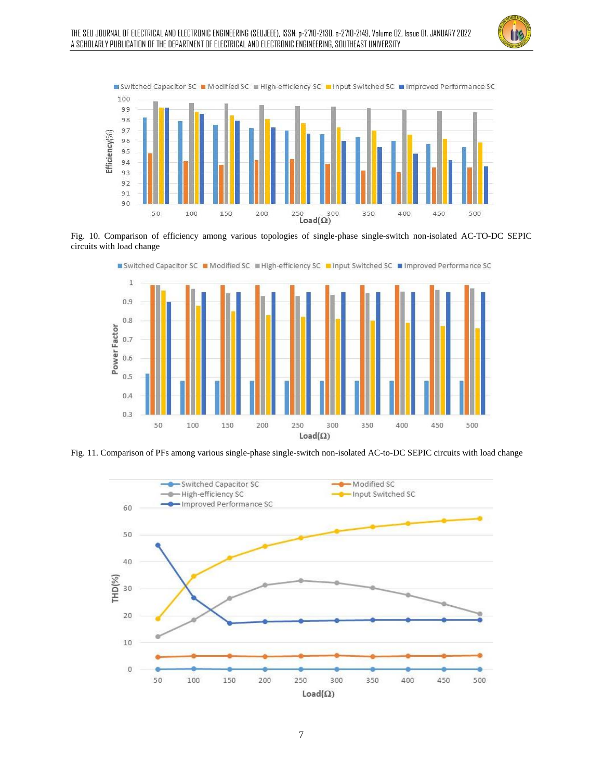







■ Switched Capacitor SC ■ Modified SC ■ High-efficiency SC ■ Input Switched SC ■ Improved Performance SC

Fig. 11. Comparison of PFs among various single-phase single-switch non-isolated AC-to-DC SEPIC circuits with load change

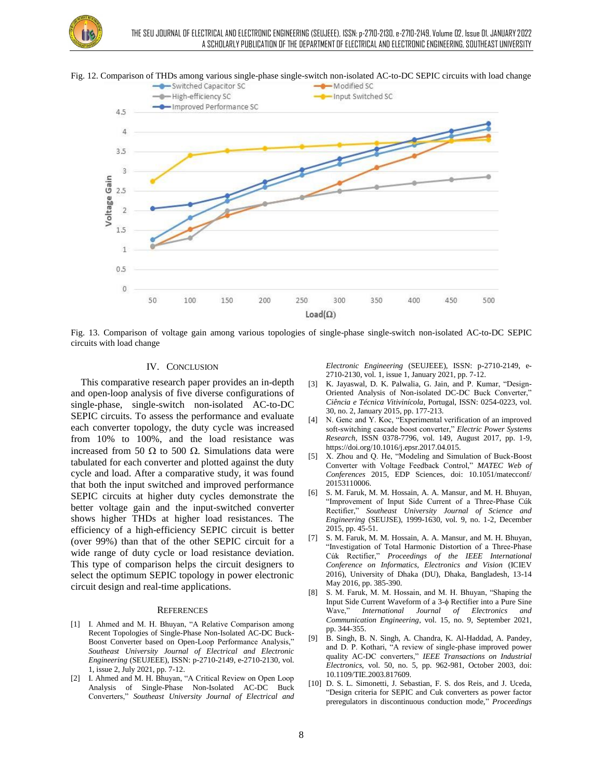



Fig. 12. Comparison of THDs among various single-phase single-switch non-isolated AC-to-DC SEPIC circuits with load change

Fig. 13. Comparison of voltage gain among various topologies of single-phase single-switch non-isolated AC-to-DC SEPIC circuits with load change

#### IV. CONCLUSION

This comparative research paper provides an in-depth and open-loop analysis of five diverse configurations of single-phase, single-switch non-isolated AC-to-DC SEPIC circuits. To assess the performance and evaluate each converter topology, the duty cycle was increased from 10% to 100%, and the load resistance was increased from 50  $\Omega$  to 500  $\Omega$ . Simulations data were tabulated for each converter and plotted against the duty cycle and load. After a comparative study, it was found that both the input switched and improved performance SEPIC circuits at higher duty cycles demonstrate the better voltage gain and the input-switched converter shows higher THDs at higher load resistances. The efficiency of a high-efficiency SEPIC circuit is better (over 99%) than that of the other SEPIC circuit for a wide range of duty cycle or load resistance deviation. This type of comparison helps the circuit designers to select the optimum SEPIC topology in power electronic circuit design and real-time applications.

#### **REFERENCES**

- [1] I. Ahmed and M. H. Bhuyan, "A Relative Comparison among Recent Topologies of Single-Phase Non-Isolated AC-DC Buck-Boost Converter based on Open-Loop Performance Analysis," *Southeast University Journal of Electrical and Electronic Engineering* (SEUJEEE), ISSN: p-2710-2149, e-2710-2130, vol. 1, issue 2, July 2021, pp. 7-12.
- [2] I. Ahmed and M. H. Bhuyan, "A Critical Review on Open Loop Analysis of Single-Phase Non-Isolated AC-DC Buck Converters," *Southeast University Journal of Electrical and*

*Electronic Engineering* (SEUJEEE), ISSN: p-2710-2149, e-2710-2130, vol. 1, issue 1, January 2021, pp. 7-12.

- [3] K. Jayaswal, D. K. Palwalia, G. Jain, and P. Kumar, "Design-Oriented Analysis of Non-isolated DC-DC Buck Converter," *Ciência e Técnica Vitivinícola*, Portugal, ISSN: 0254-0223, vol. 30, no. 2, January 2015, pp. 177-213.
- [4] N. Genc and Y. Koc, "Experimental verification of an improved soft-switching cascade boost converter," *Electric Power Systems Research*, ISSN 0378-7796, vol. 149, August 2017, pp. 1-9, https://doi.org/10.1016/j.epsr.2017.04.015.
- [5] X. Zhou and Q. He, "Modeling and Simulation of Buck-Boost Converter with Voltage Feedback Control," *MATEC Web of Conferences* 2015, EDP Sciences, doi: 10.1051/matecconf/ 20153110006.
- [6] S. M. Faruk, M. M. Hossain, A. A. Mansur, and M. H. Bhuyan, "Improvement of Input Side Current of a Three-Phase Cúk Rectifier," *Southeast University Journal of Science and Engineering* (SEUJSE), 1999-1630, vol. 9, no. 1-2, December 2015, pp. 45-51.
- [7] S. M. Faruk, M. M. Hossain, A. A. Mansur, and M. H. Bhuyan, "Investigation of Total Harmonic Distortion of a Three-Phase Cúk Rectifier," *Proceedings of the IEEE International Conference on Informatics, Electronics and Vision* (ICIEV 2016), University of Dhaka (DU), Dhaka, Bangladesh, 13-14 May 2016, pp. 385-390.
- [8] S. M. Faruk, M. M. Hossain, and M. H. Bhuyan, "Shaping the Input Side Current Waveform of a 3-φ Rectifier into a Pure Sine Wave," *International Journal of Electronics and Communication Engineering*, vol. 15, no. 9, September 2021, pp. 344-355.
- [9] B. Singh, B. N. Singh, A. Chandra, K. Al-Haddad, A. Pandey, and D. P. Kothari, "A review of single-phase improved power quality AC-DC converters," *IEEE Transactions on Industrial Electronics*, vol. 50, no. 5, pp. 962-981, October 2003, doi: 10.1109/TIE.2003.817609.
- [10] D. S. L. Simonetti, J. Sebastian, F. S. dos Reis, and J. Uceda, "Design criteria for SEPIC and Cuk converters as power factor preregulators in discontinuous conduction mode," *Proceedings*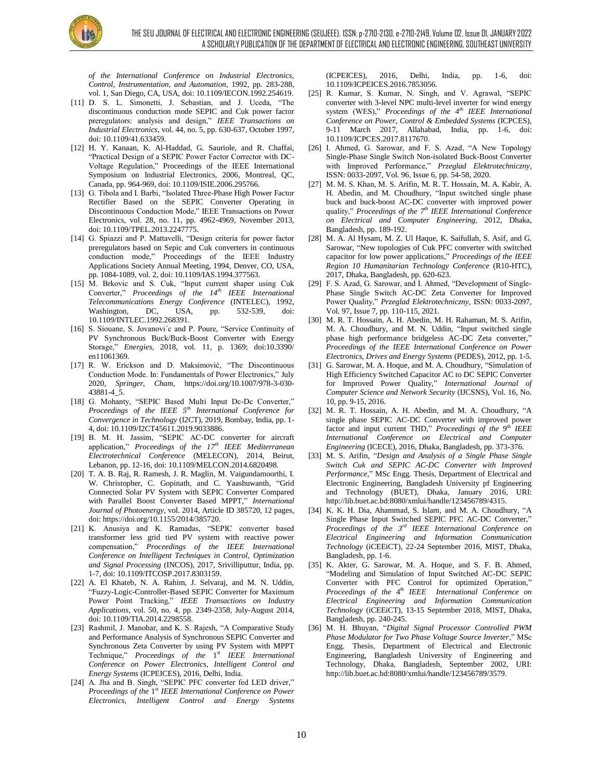

*of the International Conference on Industrial Electronics, Control, Instrumentation, and Automation*, 1992, pp. 283-288, vol. 1, San Diego, CA, USA, doi: 10.1109/IECON.1992.254619.

- [11] D. S. L. Simonetti, J. Sebastian, and J. Uceda, "The discontinuous conduction mode SEPIC and Cuk power factor preregulators: analysis and design," *IEEE Transactions on Industrial Electronics*, vol. 44, no. 5, pp. 630-637, October 1997, doi: 10.1109/41.633459.
- [12] H. Y. Kanaan, K. Al-Haddad, G. Sauriole, and R. Chaffai, "Practical Design of a SEPIC Power Factor Corrector with DC-Voltage Regulation," Proceedings of the IEEE International Symposium on Industrial Electronics, 2006, Montreal, QC, Canada, pp. 964-969, doi: 10.1109/ISIE.2006.295766.
- [13] G. Tibola and I. Barbi, "Isolated Three-Phase High Power Factor Rectifier Based on the SEPIC Converter Operating in Discontinuous Conduction Mode," IEEE Transactions on Power Electronics, vol. 28, no. 11, pp. 4962-4969, November 2013, doi: 10.1109/TPEL.2013.2247775.
- [14] G. Spiazzi and P. Mattavelli, "Design criteria for power factor preregulators based on Sepic and Cuk converters in continuous conduction mode," Proceedings of the IEEE Industry Applications Society Annual Meeting, 1994, Denver, CO, USA, pp. 1084-1089, vol. 2, doi: 10.1109/IAS.1994.377563.
- [15] M. Brkovic and S. Cuk, "Input current shaper using Cuk Converter," *Proceedings of the 14th IEEE International Telecommunications Energy Conference* (INTELEC), 1992, Washington, DC, USA, pp. 532-539, doi: 10.1109/INTLEC.1992.268391.
- [16] S. Siouane, S. Jovanovi'c and P. Poure, "Service Continuity of PV Synchronous Buck/Buck-Boost Converter with Energy Storage," *Energies*, 2018, vol. 11, p. 1369; doi:10.3390/ en11061369.
- [17] R. W. Erickson and D. Maksimović, "The Discontinuous Conduction Mode. In: Fundamentals of Power Electronics," July 2020*, Springer, Cham*, https://doi.org/10.1007/978-3-030- 43881-4\_5.
- [18] G. Mohanty, "SEPIC Based Multi Input Dc-Dc Converter," *Proceedings of the IEEE 5th International Conference for Convergence in Technology* (I2CT), 2019, Bombay, India, pp. 1- 4, doi: 10.1109/I2CT45611.2019.9033886.
- [19] B. M. H. Jassim, "SEPIC AC-DC converter for aircraft application," *Proceedings of the 17th IEEE Mediterranean Electrotechnical Conference* (MELECON), 2014, Beirut, Lebanon, pp. 12-16, doi: 10.1109/MELCON.2014.6820498.
- [20] T. A. B. Raj, R. Ramesh, J. R. Maglin, M. Vaigundamoorthi, I. W. Christopher, C. Gopinath, and C. Yaashuwanth, "Grid Connected Solar PV System with SEPIC Converter Compared with Parallel Boost Converter Based MPPT," *International Journal of Photoenergy*, vol. 2014, Article ID 385720, 12 pages, doi: https://doi.org/10.1155/2014/385720.
- [21] K. Anusiya and K. Ramadas, "SEPIC converter based transformer less grid tied PV system with reactive power compensation," *Proceedings of the IEEE International Conference on Intelligent Techniques in Control, Optimization and Signal Processing* (INCOS), 2017, Srivilliputtur, India, pp. 1-7, doi: 10.1109/ITCOSP.2017.8303159.
- [22] A. El Khateb, N. A. Rahim, J. Selvaraj, and M. N. Uddin, "Fuzzy-Logic-Controller-Based SEPIC Converter for Maximum Power Point Tracking," *IEEE Transactions on Industry Applications*, vol. 50, no. 4, pp. 2349-2358, July-August 2014, doi: 10.1109/TIA.2014.2298558.
- [23] Rashmil, J. Manohar, and K. S. Rajesh, "A Comparative Study and Performance Analysis of Synchronous SEPlC Converter and Synchronous Zeta Converter by using PV System with MPPT Technique," *Proceedings of the* 1 st *IEEE International Conference on Power Electronics, Intelligent Control and Energy Systems* (ICPEICES), 2016, Delhi, India.
- [24] A. Jha and B. Singh, "SEPIC PFC converter fed LED driver," Proceedings of the 1<sup>st</sup> IEEE International Conference on Power *Electronics, Intelligent Control and Energy Systems*

(ICPEICES), 2016, Delhi, India, pp. 1-6, doi: 10.1109/ICPEICES.2016.7853056.

- [25] R. Kumar, S. Kumar, N. Singh, and V. Agrawal, "SEPIC converter with 3-level NPC multi-level inverter for wind energy system (WES)," *Proceedings of the 4th IEEE International Conference on Power, Control & Embedded Systems* (ICPCES), 9-11 March 2017, Allahabad, India, pp. 1-6, doi: 10.1109/ICPCES.2017.8117670.
- [26] I. Ahmed, G. Sarowar, and F. S. Azad, "A New Topology Single-Phase Single Switch Non-isolated Buck-Boost Converter with Improved Performance," *Przeglad Elektrotechniczny*, ISSN: 0033-2097, Vol. 96, Issue 6, pp. 54-58, 2020.
- [27] M. M. S. Khan, M. S. Arifin, M. R. T. Hossain, M. A. Kabir, A. H. Abedin, and M. Choudhury, "Input switched single phase buck and buck-boost AC-DC converter with improved power quality," *Proceedings of the 7 th IEEE International Conference on Electrical and Computer Engineering*, 2012, Dhaka, Bangladesh, pp. 189-192.
- [28] M. A. Al Hysam, M. Z. Ul Haque, K. Saifullah, S. Asif, and G. Sarowar, "New topologies of Cuk PFC converter with switched capacitor for low power applications," *Proceedings of the IEEE Region 10 Humanitarian Technology Conference* (R10-HTC), 2017, Dhaka, Bangladesh, pp. 620-623.
- [29] F. S. Azad, G. Sarowar, and I. Ahmed, "Development of Single-Phase Single Switch AC-DC Zeta Converter for Improved Power Quality," *Przeglad Elektrotechniczny*, ISSN: 0033-2097, Vol. 97, Issue 7, pp. 110-115, 2021.
- [30] M. R. T. Hossain, A. H. Abedin, M. H. Rahaman, M. S. Arifin, M. A. Choudhury, and M. N. Uddin, "Input switched single phase high performance bridgeless AC-DC Zeta converter," *Proceedings of the IEEE International Conference on Power Electronics, Drives and Energy Systems* (PEDES), 2012, pp. 1-5.
- [31] G. Sarowar, M. A. Hoque, and M. A. Choudhury, "Simulation of High Efficiency Switched Capacitor AC to DC SEPIC Converter for Improved Power Quality," *International Journal of Computer Science and Network Security* (IJCSNS), Vol. 16, No. 10, pp. 9-15, 2016.
- [32] M. R. T. Hossain, A. H. Abedin, and M. A. Choudhury, "A single phase SEPIC AC-DC Converter with improved power factor and input current THD," Proceedings of the 9<sup>th</sup> IEEE *International Conference on Electrical and Computer Engineering* (ICECE), 2016, Dhaka, Bangladesh, pp. 373-376.
- [33] M. S. Arifin, "*Design and Analysis of a Single Phase Single Switch Cuk and SEPIC AC-DC Converter with Improved Performance*," MSc Engg. Thesis, Department of Electrical and Electronic Engineering, Bangladesh University pf Engineering and Technology (BUET), Dhaka, January 2016, URI: http://lib.buet.ac.bd:8080/xmlui/handle/123456789/4315.
- [34] K. K. H. Dia, Ahammad, S. Islam, and M. A. Choudhury, "A Single Phase Input Switched SEPIC PFC AC-DC Converter," *Proceedings of the 3 rd IEEE International Conference on Electrical Engineering and Information Communication Technology* (iCEEiCT), 22-24 September 2016, MIST, Dhaka, Bangladesh, pp. 1-6.
- [35] K. Akter, G. Sarowar, M. A. Hoque, and S. F. B. Ahmed, "Modeling and Simulation of Input Switched AC-DC SEPIC Converter with PFC Control for optimized Operation," Proceedings of the 4<sup>th</sup> IEEE International Conference on *Electrical Engineering and Information Communication Technology* (iCEEiCT), 13-15 September 2018, MIST, Dhaka, Bangladesh, pp. 240-245.
- [36] M. H. Bhuyan, "*Digital Signal Processor Controlled PWM Phase Modulator for Two Phase Voltage Source Inverter*," MSc Engg. Thesis, Department of Electrical and Electronic Engineering, Bangladesh University of Engineering and Technology, Dhaka, Bangladesh, September 2002, URI: http://lib.buet.ac.bd:8080/xmlui/handle/123456789/3579.